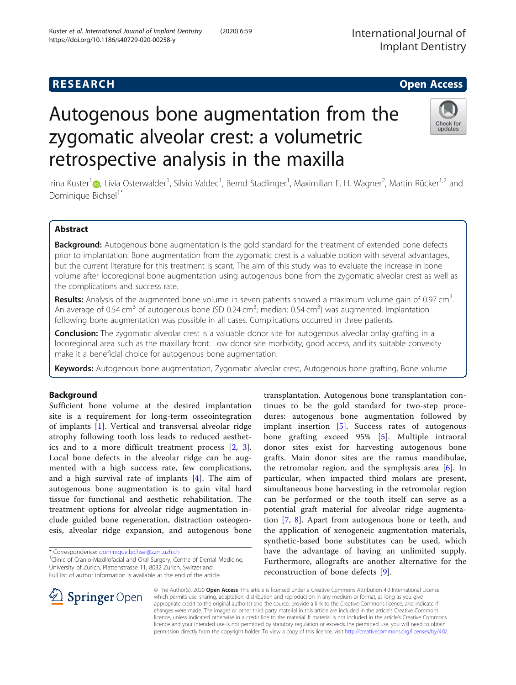# **RESEARCH CHE Open Access**

# Autogenous bone augmentation from the zygomatic alveolar crest: a volumetric retrospective analysis in the maxilla

Irina Kuster<sup>1</sup>©[,](http://orcid.org/0000-0001-9698-1330) Livia Osterwalder<sup>1</sup>, Silvio Valdec<sup>1</sup>, Bernd Stadlinger<sup>1</sup>, Maximilian E. H. Wagner<sup>2</sup>, Martin Rücker<sup>1,2</sup> and Dominique Bichsel<sup>1\*</sup>

# Abstract

**Background:** Autogenous bone augmentation is the gold standard for the treatment of extended bone defects prior to implantation. Bone augmentation from the zygomatic crest is a valuable option with several advantages, but the current literature for this treatment is scant. The aim of this study was to evaluate the increase in bone volume after locoregional bone augmentation using autogenous bone from the zygomatic alveolar crest as well as the complications and success rate.

**Results:** Analysis of the augmented bone volume in seven patients showed a maximum volume gain of 0.97 cm<sup>3</sup>. . An average of 0.54 cm<sup>3</sup> of autogenous bone (SD 0.24 cm<sup>3</sup>; median: 0.54 cm<sup>3</sup>) was augmented. Implantation following bone augmentation was possible in all cases. Complications occurred in three patients.

**Conclusion:** The zygomatic alveolar crest is a valuable donor site for autogenous alveolar onlay grafting in a locoregional area such as the maxillary front. Low donor site morbidity, good access, and its suitable convexity make it a beneficial choice for autogenous bone augmentation.

Keywords: Autogenous bone augmentation, Zygomatic alveolar crest, Autogenous bone grafting, Bone volume

# Background

Sufficient bone volume at the desired implantation site is a requirement for long-term osseointegration of implants [[1\]](#page-6-0). Vertical and transversal alveolar ridge atrophy following tooth loss leads to reduced aesthetics and to a more difficult treatment process [[2,](#page-6-0) [3](#page-6-0)]. Local bone defects in the alveolar ridge can be augmented with a high success rate, few complications, and a high survival rate of implants [\[4](#page-6-0)]. The aim of autogenous bone augmentation is to gain vital hard tissue for functional and aesthetic rehabilitation. The treatment options for alveolar ridge augmentation include guided bone regeneration, distraction osteogenesis, alveolar ridge expansion, and autogenous bone

\* Correspondence: [dominique.bichsel@zzm.uzh.ch](mailto:dominique.bichsel@zzm.uzh.ch) <sup>1</sup>

<sup>1</sup> Clinic of Cranio-Maxillofacial and Oral Surgery, Centre of Dental Medicine, University of Zurich, Plattenstrasse 11, 8032 Zurich, Switzerland Full list of author information is available at the end of the article

 $\mathscr{L}$  Springer Open

© The Author(s). 2020 Open Access This article is licensed under a Creative Commons Attribution 4.0 International License, which permits use, sharing, adaptation, distribution and reproduction in any medium or format, as long as you give appropriate credit to the original author(s) and the source, provide a link to the Creative Commons licence, and indicate if changes were made. The images or other third party material in this article are included in the article's Creative Commons licence, unless indicated otherwise in a credit line to the material. If material is not included in the article's Creative Commons licence and your intended use is not permitted by statutory regulation or exceeds the permitted use, you will need to obtain permission directly from the copyright holder. To view a copy of this licence, visit <http://creativecommons.org/licenses/by/4.0/>.

transplantation. Autogenous bone transplantation continues to be the gold standard for two-step procedures: autogenous bone augmentation followed by implant insertion [[5\]](#page-6-0). Success rates of autogenous bone grafting exceed 95% [[5\]](#page-6-0). Multiple intraoral donor sites exist for harvesting autogenous bone grafts. Main donor sites are the ramus mandibulae, the retromolar region, and the symphysis area [[6\]](#page-6-0). In particular, when impacted third molars are present, simultaneous bone harvesting in the retromolar region can be performed or the tooth itself can serve as a potential graft material for alveolar ridge augmentation [[7,](#page-6-0) [8](#page-6-0)]. Apart from autogenous bone or teeth, and the application of xenogeneic augmentation materials, synthetic-based bone substitutes can be used, which have the advantage of having an unlimited supply. Furthermore, allografts are another alternative for the reconstruction of bone defects [[9\]](#page-7-0).



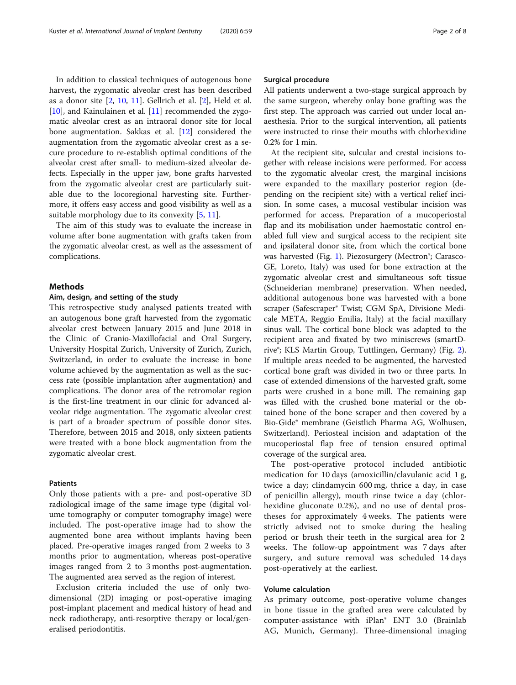In addition to classical techniques of autogenous bone harvest, the zygomatic alveolar crest has been described as a donor site  $[2, 10, 11]$  $[2, 10, 11]$  $[2, 10, 11]$  $[2, 10, 11]$  $[2, 10, 11]$  $[2, 10, 11]$ . Gellrich et al.  $[2]$ , Held et al. [[10\]](#page-7-0), and Kainulainen et al. [[11](#page-7-0)] recommended the zygomatic alveolar crest as an intraoral donor site for local bone augmentation. Sakkas et al. [[12](#page-7-0)] considered the augmentation from the zygomatic alveolar crest as a secure procedure to re-establish optimal conditions of the alveolar crest after small- to medium-sized alveolar defects. Especially in the upper jaw, bone grafts harvested from the zygomatic alveolar crest are particularly suitable due to the locoregional harvesting site. Furthermore, it offers easy access and good visibility as well as a suitable morphology due to its convexity [[5,](#page-6-0) [11\]](#page-7-0).

The aim of this study was to evaluate the increase in volume after bone augmentation with grafts taken from the zygomatic alveolar crest, as well as the assessment of complications.

# Methods

# Aim, design, and setting of the study

This retrospective study analysed patients treated with an autogenous bone graft harvested from the zygomatic alveolar crest between January 2015 and June 2018 in the Clinic of Cranio-Maxillofacial and Oral Surgery, University Hospital Zurich, University of Zurich, Zurich, Switzerland, in order to evaluate the increase in bone volume achieved by the augmentation as well as the success rate (possible implantation after augmentation) and complications. The donor area of the retromolar region is the first-line treatment in our clinic for advanced alveolar ridge augmentation. The zygomatic alveolar crest is part of a broader spectrum of possible donor sites. Therefore, between 2015 and 2018, only sixteen patients were treated with a bone block augmentation from the zygomatic alveolar crest.

## Patients

Only those patients with a pre- and post-operative 3D radiological image of the same image type (digital volume tomography or computer tomography image) were included. The post-operative image had to show the augmented bone area without implants having been placed. Pre-operative images ranged from 2 weeks to 3 months prior to augmentation, whereas post-operative images ranged from 2 to 3 months post-augmentation. The augmented area served as the region of interest.

Exclusion criteria included the use of only twodimensional (2D) imaging or post-operative imaging post-implant placement and medical history of head and neck radiotherapy, anti-resorptive therapy or local/generalised periodontitis.

## Surgical procedure

All patients underwent a two-stage surgical approach by the same surgeon, whereby onlay bone grafting was the first step. The approach was carried out under local anaesthesia. Prior to the surgical intervention, all patients were instructed to rinse their mouths with chlorhexidine 0.2% for 1 min.

At the recipient site, sulcular and crestal incisions together with release incisions were performed. For access to the zygomatic alveolar crest, the marginal incisions were expanded to the maxillary posterior region (depending on the recipient site) with a vertical relief incision. In some cases, a mucosal vestibular incision was performed for access. Preparation of a mucoperiostal flap and its mobilisation under haemostatic control enabled full view and surgical access to the recipient site and ipsilateral donor site, from which the cortical bone was harvested (Fig. [1\)](#page-2-0). Piezosurgery (Mectron<sup>®</sup>; Carasco-GE, Loreto, Italy) was used for bone extraction at the zygomatic alveolar crest and simultaneous soft tissue (Schneiderian membrane) preservation. When needed, additional autogenous bone was harvested with a bone scraper (Safescraper® Twist; CGM SpA, Divisione Medicale META, Reggio Emilia, Italy) at the facial maxillary sinus wall. The cortical bone block was adapted to the recipient area and fixated by two miniscrews (smartDrive®; KLS Martin Group, Tuttlingen, Germany) (Fig. [2](#page-2-0)). If multiple areas needed to be augmented, the harvested cortical bone graft was divided in two or three parts. In case of extended dimensions of the harvested graft, some parts were crushed in a bone mill. The remaining gap was filled with the crushed bone material or the obtained bone of the bone scraper and then covered by a Bio-Gide® membrane (Geistlich Pharma AG, Wolhusen, Switzerland). Periosteal incision and adaptation of the mucoperiostal flap free of tension ensured optimal coverage of the surgical area.

The post-operative protocol included antibiotic medication for 10 days (amoxicillin/clavulanic acid 1 g, twice a day; clindamycin 600 mg, thrice a day, in case of penicillin allergy), mouth rinse twice a day (chlorhexidine gluconate 0.2%), and no use of dental prostheses for approximately 4 weeks. The patients were strictly advised not to smoke during the healing period or brush their teeth in the surgical area for 2 weeks. The follow-up appointment was 7 days after surgery, and suture removal was scheduled 14 days post-operatively at the earliest.

# Volume calculation

As primary outcome, post-operative volume changes in bone tissue in the grafted area were calculated by computer-assistance with iPlan® ENT 3.0 (Brainlab AG, Munich, Germany). Three-dimensional imaging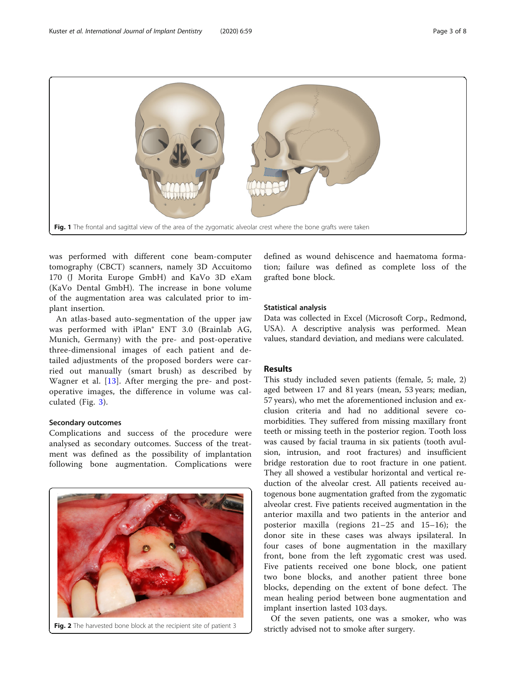<span id="page-2-0"></span>

was performed with different cone beam-computer tomography (CBCT) scanners, namely 3D Accuitomo 170 (J Morita Europe GmbH) and KaVo 3D eXam (KaVo Dental GmbH). The increase in bone volume of the augmentation area was calculated prior to implant insertion.

An atlas-based auto-segmentation of the upper jaw was performed with iPlan® ENT 3.0 (Brainlab AG, Munich, Germany) with the pre- and post-operative three-dimensional images of each patient and detailed adjustments of the proposed borders were carried out manually (smart brush) as described by Wagner et al. [[13](#page-7-0)]. After merging the pre- and postoperative images, the difference in volume was calculated (Fig. [3](#page-3-0)).

#### Secondary outcomes

Complications and success of the procedure were analysed as secondary outcomes. Success of the treatment was defined as the possibility of implantation following bone augmentation. Complications were



Fig. 2 The harvested bone block at the recipient site of patient 3

defined as wound dehiscence and haematoma formation; failure was defined as complete loss of the grafted bone block.

#### Statistical analysis

Data was collected in Excel (Microsoft Corp., Redmond, USA). A descriptive analysis was performed. Mean values, standard deviation, and medians were calculated.

# Results

This study included seven patients (female, 5; male, 2) aged between 17 and 81 years (mean, 53 years; median, 57 years), who met the aforementioned inclusion and exclusion criteria and had no additional severe comorbidities. They suffered from missing maxillary front teeth or missing teeth in the posterior region. Tooth loss was caused by facial trauma in six patients (tooth avulsion, intrusion, and root fractures) and insufficient bridge restoration due to root fracture in one patient. They all showed a vestibular horizontal and vertical reduction of the alveolar crest. All patients received autogenous bone augmentation grafted from the zygomatic alveolar crest. Five patients received augmentation in the anterior maxilla and two patients in the anterior and posterior maxilla (regions 21–25 and 15–16); the donor site in these cases was always ipsilateral. In four cases of bone augmentation in the maxillary front, bone from the left zygomatic crest was used. Five patients received one bone block, one patient two bone blocks, and another patient three bone blocks, depending on the extent of bone defect. The mean healing period between bone augmentation and implant insertion lasted 103 days.

Of the seven patients, one was a smoker, who was strictly advised not to smoke after surgery.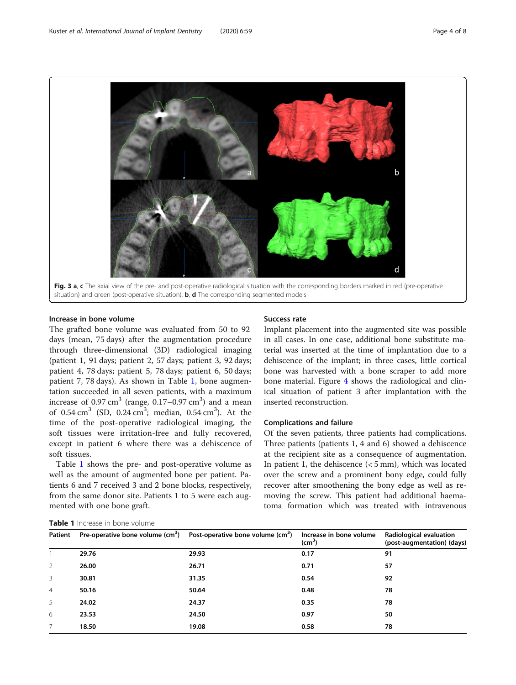<span id="page-3-0"></span>

Increase in bone volume

The grafted bone volume was evaluated from 50 to 92 days (mean, 75 days) after the augmentation procedure through three-dimensional (3D) radiological imaging (patient 1, 91 days; patient 2, 57 days; patient 3, 92 days; patient 4, 78 days; patient 5, 78 days; patient 6, 50 days; patient 7, 78 days). As shown in Table 1, bone augmentation succeeded in all seven patients, with a maximum increase of 0.97 cm<sup>3</sup> (range, 0.17–0.97 cm<sup>3</sup>) and a mean of  $0.54 \text{ cm}^3$  (SD,  $0.24 \text{ cm}^3$ ; median,  $0.54 \text{ cm}^3$ ). At the time of the post-operative radiological imaging, the soft tissues were irritation-free and fully recovered, except in patient 6 where there was a dehiscence of soft tissues.

Table 1 shows the pre- and post-operative volume as well as the amount of augmented bone per patient. Patients 6 and 7 received 3 and 2 bone blocks, respectively, from the same donor site. Patients 1 to 5 were each augmented with one bone graft.

# Success rate

Implant placement into the augmented site was possible in all cases. In one case, additional bone substitute material was inserted at the time of implantation due to a dehiscence of the implant; in three cases, little cortical bone was harvested with a bone scraper to add more bone material. Figure [4](#page-4-0) shows the radiological and clinical situation of patient 3 after implantation with the inserted reconstruction.

# Complications and failure

Of the seven patients, three patients had complications. Three patients (patients 1, 4 and 6) showed a dehiscence at the recipient site as a consequence of augmentation. In patient 1, the dehiscence (< 5 mm), which was located over the screw and a prominent bony edge, could fully recover after smoothening the bony edge as well as removing the screw. This patient had additional haematoma formation which was treated with intravenous

| Patient        |       | Pre-operative bone volume $(cm^3)$ Post-operative bone volume $(cm^3)$ | Increase in bone volume<br>$\text{(cm}^3)$ | Radiological evaluation<br>(post-augmentation) (days) |
|----------------|-------|------------------------------------------------------------------------|--------------------------------------------|-------------------------------------------------------|
|                | 29.76 | 29.93                                                                  | 0.17                                       | 91                                                    |
| $\mathcal{P}$  | 26.00 | 26.71                                                                  | 0.71                                       | 57                                                    |
| 3              | 30.81 | 31.35                                                                  | 0.54                                       | 92                                                    |
| $\overline{4}$ | 50.16 | 50.64                                                                  | 0.48                                       | 78                                                    |
| 5              | 24.02 | 24.37                                                                  | 0.35                                       | 78                                                    |
| 6              | 23.53 | 24.50                                                                  | 0.97                                       | 50                                                    |
|                | 18.50 | 19.08                                                                  | 0.58                                       | 78                                                    |

Table 1 Increase in bone volume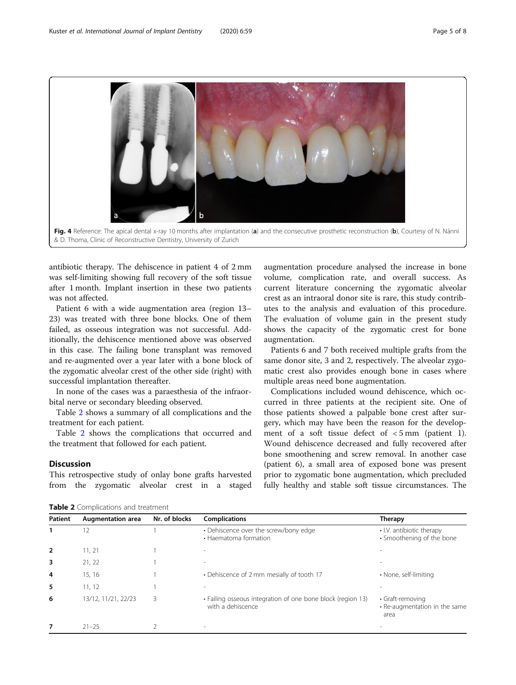<span id="page-4-0"></span>

antibiotic therapy. The dehiscence in patient 4 of 2 mm was self-limiting showing full recovery of the soft tissue after 1 month. Implant insertion in these two patients was not affected.

Patient 6 with a wide augmentation area (region 13– 23) was treated with three bone blocks. One of them failed, as osseous integration was not successful. Additionally, the dehiscence mentioned above was observed in this case. The failing bone transplant was removed and re-augmented over a year later with a bone block of the zygomatic alveolar crest of the other side (right) with successful implantation thereafter.

In none of the cases was a paraesthesia of the infraorbital nerve or secondary bleeding observed.

Table 2 shows a summary of all complications and the treatment for each patient.

Table 2 shows the complications that occurred and the treatment that followed for each patient.

# **Discussion**

This retrospective study of onlay bone grafts harvested from the zygomatic alveolar crest in a staged

augmentation procedure analysed the increase in bone volume, complication rate, and overall success. As current literature concerning the zygomatic alveolar crest as an intraoral donor site is rare, this study contributes to the analysis and evaluation of this procedure. The evaluation of volume gain in the present study shows the capacity of the zygomatic crest for bone augmentation.

Patients 6 and 7 both received multiple grafts from the same donor site, 3 and 2, respectively. The alveolar zygomatic crest also provides enough bone in cases where multiple areas need bone augmentation.

Complications included wound dehiscence, which occurred in three patients at the recipient site. One of those patients showed a palpable bone crest after surgery, which may have been the reason for the development of a soft tissue defect of  $\lt$  5 mm (patient 1). Wound dehiscence decreased and fully recovered after bone smoothening and screw removal. In another case (patient 6), a small area of exposed bone was present prior to zygomatic bone augmentation, which precluded fully healthy and stable soft tissue circumstances. The

Table 2 Complications and treatment

| <b>Patient</b> | <b>Augmentation area</b> | Nr. of blocks | <b>Complications</b>                                                             | Therapy                                                   |
|----------------|--------------------------|---------------|----------------------------------------------------------------------------------|-----------------------------------------------------------|
|                | 12                       |               | • Dehiscence over the screw/bony edge<br>• Haematoma formation                   | • I.V. antibiotic therapy<br>• Smoothening of the bone    |
| 2              | 11, 21                   |               |                                                                                  |                                                           |
| 3              | 21, 22                   |               |                                                                                  |                                                           |
| 4              | 15, 16                   |               | • Dehiscence of 2 mm mesially of tooth 17                                        | • None, self-limiting                                     |
| 5              | 11, 12                   |               |                                                                                  |                                                           |
| 6              | 13/12, 11/21, 22/23      | 3             | • Failing osseous integration of one bone block (region 13)<br>with a dehiscence | • Graft-removing<br>• Re-augmentation in the same<br>area |
| 7              | $21 - 25$                |               |                                                                                  |                                                           |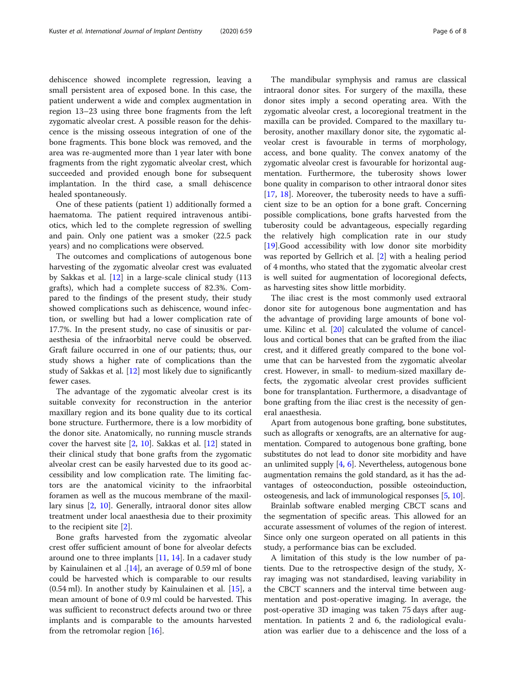dehiscence showed incomplete regression, leaving a small persistent area of exposed bone. In this case, the patient underwent a wide and complex augmentation in region 13–23 using three bone fragments from the left zygomatic alveolar crest. A possible reason for the dehiscence is the missing osseous integration of one of the bone fragments. This bone block was removed, and the area was re-augmented more than 1 year later with bone fragments from the right zygomatic alveolar crest, which succeeded and provided enough bone for subsequent implantation. In the third case, a small dehiscence healed spontaneously.

One of these patients (patient 1) additionally formed a haematoma. The patient required intravenous antibiotics, which led to the complete regression of swelling and pain. Only one patient was a smoker (22.5 pack years) and no complications were observed.

The outcomes and complications of autogenous bone harvesting of the zygomatic alveolar crest was evaluated by Sakkas et al. [[12](#page-7-0)] in a large-scale clinical study (113 grafts), which had a complete success of 82.3%. Compared to the findings of the present study, their study showed complications such as dehiscence, wound infection, or swelling but had a lower complication rate of 17.7%. In the present study, no case of sinusitis or paraesthesia of the infraorbital nerve could be observed. Graft failure occurred in one of our patients; thus, our study shows a higher rate of complications than the study of Sakkas et al. [[12\]](#page-7-0) most likely due to significantly fewer cases.

The advantage of the zygomatic alveolar crest is its suitable convexity for reconstruction in the anterior maxillary region and its bone quality due to its cortical bone structure. Furthermore, there is a low morbidity of the donor site. Anatomically, no running muscle strands cover the harvest site [[2,](#page-6-0) [10](#page-7-0)]. Sakkas et al. [[12](#page-7-0)] stated in their clinical study that bone grafts from the zygomatic alveolar crest can be easily harvested due to its good accessibility and low complication rate. The limiting factors are the anatomical vicinity to the infraorbital foramen as well as the mucous membrane of the maxillary sinus [[2,](#page-6-0) [10\]](#page-7-0). Generally, intraoral donor sites allow treatment under local anaesthesia due to their proximity to the recipient site [\[2](#page-6-0)].

Bone grafts harvested from the zygomatic alveolar crest offer sufficient amount of bone for alveolar defects around one to three implants [[11,](#page-7-0) [14\]](#page-7-0). In a cadaver study by Kainulainen et al .[[14\]](#page-7-0), an average of 0.59 ml of bone could be harvested which is comparable to our results (0.54 ml). In another study by Kainulainen et al. [\[15\]](#page-7-0), a mean amount of bone of 0.9 ml could be harvested. This was sufficient to reconstruct defects around two or three implants and is comparable to the amounts harvested from the retromolar region [\[16](#page-7-0)].

The mandibular symphysis and ramus are classical intraoral donor sites. For surgery of the maxilla, these donor sites imply a second operating area. With the zygomatic alveolar crest, a locoregional treatment in the maxilla can be provided. Compared to the maxillary tuberosity, another maxillary donor site, the zygomatic alveolar crest is favourable in terms of morphology, access, and bone quality. The convex anatomy of the zygomatic alveolar crest is favourable for horizontal augmentation. Furthermore, the tuberosity shows lower bone quality in comparison to other intraoral donor sites [[17,](#page-7-0) [18](#page-7-0)]. Moreover, the tuberosity needs to have a sufficient size to be an option for a bone graft. Concerning possible complications, bone grafts harvested from the tuberosity could be advantageous, especially regarding the relatively high complication rate in our study [[19\]](#page-7-0).Good accessibility with low donor site morbidity was reported by Gellrich et al. [\[2](#page-6-0)] with a healing period of 4 months, who stated that the zygomatic alveolar crest is well suited for augmentation of locoregional defects, as harvesting sites show little morbidity.

The iliac crest is the most commonly used extraoral donor site for autogenous bone augmentation and has the advantage of providing large amounts of bone volume. Kilinc et al. [[20](#page-7-0)] calculated the volume of cancellous and cortical bones that can be grafted from the iliac crest, and it differed greatly compared to the bone volume that can be harvested from the zygomatic alveolar crest. However, in small- to medium-sized maxillary defects, the zygomatic alveolar crest provides sufficient bone for transplantation. Furthermore, a disadvantage of bone grafting from the iliac crest is the necessity of general anaesthesia.

Apart from autogenous bone grafting, bone substitutes, such as allografts or xenografts, are an alternative for augmentation. Compared to autogenous bone grafting, bone substitutes do not lead to donor site morbidity and have an unlimited supply  $[4, 6]$  $[4, 6]$  $[4, 6]$ . Nevertheless, autogenous bone augmentation remains the gold standard, as it has the advantages of osteoconduction, possible osteoinduction, osteogenesis, and lack of immunological responses [\[5](#page-6-0), [10\]](#page-7-0).

Brainlab software enabled merging CBCT scans and the segmentation of specific areas. This allowed for an accurate assessment of volumes of the region of interest. Since only one surgeon operated on all patients in this study, a performance bias can be excluded.

A limitation of this study is the low number of patients. Due to the retrospective design of the study, Xray imaging was not standardised, leaving variability in the CBCT scanners and the interval time between augmentation and post-operative imaging. In average, the post-operative 3D imaging was taken 75 days after augmentation. In patients 2 and 6, the radiological evaluation was earlier due to a dehiscence and the loss of a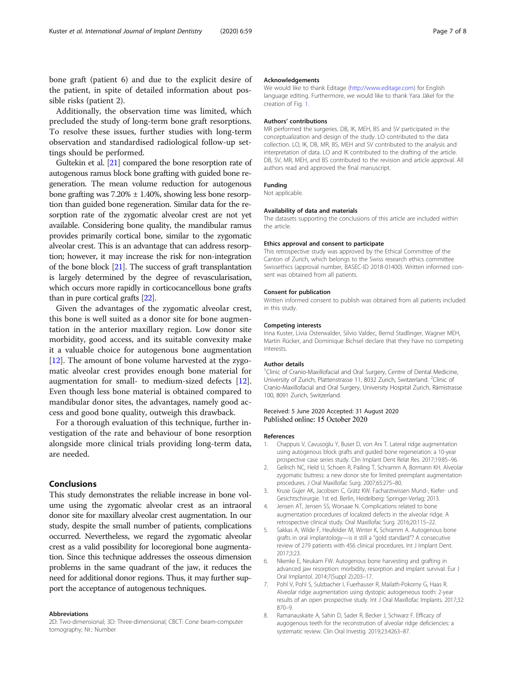<span id="page-6-0"></span>bone graft (patient 6) and due to the explicit desire of the patient, in spite of detailed information about possible risks (patient 2).

Additionally, the observation time was limited, which precluded the study of long-term bone graft resorptions. To resolve these issues, further studies with long-term observation and standardised radiological follow-up settings should be performed.

Gultekin et al. [\[21\]](#page-7-0) compared the bone resorption rate of autogenous ramus block bone grafting with guided bone regeneration. The mean volume reduction for autogenous bone grafting was  $7.20\% \pm 1.40\%$ , showing less bone resorption than guided bone regeneration. Similar data for the resorption rate of the zygomatic alveolar crest are not yet available. Considering bone quality, the mandibular ramus provides primarily cortical bone, similar to the zygomatic alveolar crest. This is an advantage that can address resorption; however, it may increase the risk for non-integration of the bone block [\[21\]](#page-7-0). The success of graft transplantation is largely determined by the degree of revascularisation, which occurs more rapidly in corticocancellous bone grafts than in pure cortical grafts [\[22\]](#page-7-0).

Given the advantages of the zygomatic alveolar crest, this bone is well suited as a donor site for bone augmentation in the anterior maxillary region. Low donor site morbidity, good access, and its suitable convexity make it a valuable choice for autogenous bone augmentation [[12\]](#page-7-0). The amount of bone volume harvested at the zygomatic alveolar crest provides enough bone material for augmentation for small- to medium-sized defects [\[12](#page-7-0)]. Even though less bone material is obtained compared to mandibular donor sites, the advantages, namely good access and good bone quality, outweigh this drawback.

For a thorough evaluation of this technique, further investigation of the rate and behaviour of bone resorption alongside more clinical trials providing long-term data, are needed.

# Conclusions

This study demonstrates the reliable increase in bone volume using the zygomatic alveolar crest as an intraoral donor site for maxillary alveolar crest augmentation. In our study, despite the small number of patients, complications occurred. Nevertheless, we regard the zygomatic alveolar crest as a valid possibility for locoregional bone augmentation. Since this technique addresses the osseous dimension problems in the same quadrant of the jaw, it reduces the need for additional donor regions. Thus, it may further support the acceptance of autogenous techniques.

#### Abbreviations

2D: Two-dimensional; 3D: Three-dimensional; CBCT: Cone beam-computer tomography; Nr.: Number

#### Acknowledgements

We would like to thank Editage [\(http://www.editage.com\)](http://www.editage.com) for English language editing. Furthermore, we would like to thank Yara Jäkel for the creation of Fig. [1.](#page-2-0)

#### Authors' contributions

MR performed the surgeries. DB, IK, MEH, BS and SV participated in the conceptualization and design of the study. LO contributed to the data collection. LO, IK, DB, MR, BS, MEH and SV contributed to the analysis and interpretation of data. LO and IK contributed to the drafting of the article. DB, SV, MR, MEH, and BS contributed to the revision and article approval. All authors read and approved the final manuscript.

#### Funding

Not applicable.

# Availability of data and materials

The datasets supporting the conclusions of this article are included within the article.

#### Ethics approval and consent to participate

This retrospective study was approved by the Ethical Committee of the Canton of Zurich, which belongs to the Swiss research ethics committee Swissethics (approval number, BASEC-ID 2018-01400). Written informed consent was obtained from all patients.

#### Consent for publication

Written informed consent to publish was obtained from all patients included in this study.

#### Competing interests

Irina Kuster, Livia Osterwalder, Silvio Valdec, Bernd Stadlinger, Wagner MEH, Martin Rücker, and Dominique Bichsel declare that they have no competing interests.

#### Author details

<sup>1</sup>Clinic of Cranio-Maxillofacial and Oral Surgery, Centre of Dental Medicine, University of Zurich, Plattenstrasse 11, 8032 Zurich, Switzerland. <sup>2</sup>Clinic of Cranio-Maxillofacial and Oral Surgery, University Hospital Zurich, Rämistrasse 100, 8091 Zurich, Switzerland.

#### Received: 5 June 2020 Accepted: 31 August 2020 Published online: 15 October 2020

#### References

- 1. Chappuis V, Cavusoglu Y, Buser D, von Arx T. Lateral ridge augmentation using autogenous block grafts and guided bone regeneration: a 10-year prospective case series study. Clin Implant Dent Relat Res. 2017;19:85–96.
- 2. Gellrich NC, Held U, Schoen R, Pailing T, Schramm A, Bormann KH. Alveolar zygomatic buttress: a new donor site for limited preimplant augmentation procedures. J Oral Maxillofac Surg. 2007;65:275–80.
- 3. Kruse Gujer AK, Jacobsen C, Grätz KW. Facharztwissen Mund-, Kiefer- und Gesichtschirurgie. 1st ed. Berlin, Heidelberg: Springer-Verlag; 2013.
- 4. Jensen AT, Jensen SS, Worsaae N. Complications related to bone augmentation procedures of localized defects in the alveolar ridge. A retrospective clinical study. Oral Maxillofac Surg. 2016;20:115–22.
- 5. Sakkas A, Wilde F, Heufelder M, Winter K, Schramm A. Autogenous bone grafts in oral implantology—is it still a "gold standard"? A consecutive review of 279 patients with 456 clinical procedures. Int J Implant Dent. 2017;3:23.
- 6. Nkenke E, Neukam FW. Autogenous bone harvesting and grafting in advanced jaw resorption: morbidity, resorption and implant survival. Eur J Oral Implantol. 2014;7(Suppl 2):203–17.
- 7. Pohl V, Pohl S, Sulzbacher I, Fuerhauser R, Mailath-Pokorny G, Haas R. Alveolar ridge augmentation using dystopic autogeneous tooth: 2-year results of an open prospective study. Int J Oral Maxillofac Implants. 2017;32: 870–9.
- 8. Ramanauskaite A, Sahin D, Sader R, Becker J, Schwarz F. Efficacy of augogenous teeth for the reconstrution of alveolar ridge deficiencies: a systematic review. Clin Oral Investig. 2019;23:4263–87.